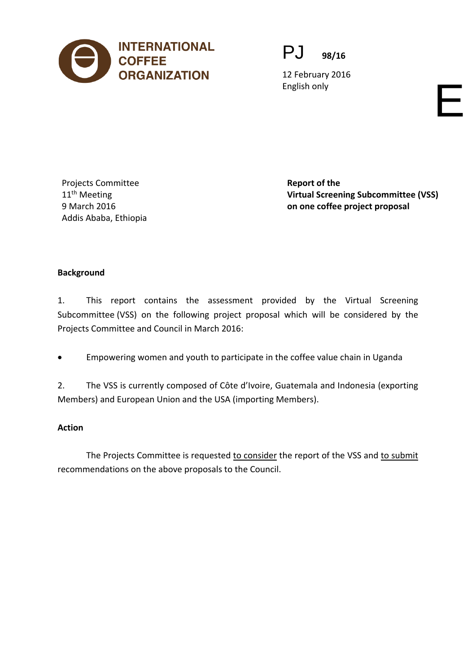

PJ **98/16**

12 February 2016 English only English only English on  $\blacksquare$ 

Projects Committee 11<sup>th</sup> Meeting 9 March 2016 Addis Ababa, Ethiopia **Report of the Virtual Screening Subcommittee (VSS) on one coffee project proposal**

## **Background**

1. This report contains the assessment provided by the Virtual Screening Subcommittee (VSS) on the following project proposal which will be considered by the Projects Committee and Council in March 2016:

• Empowering women and youth to participate in the coffee value chain in Uganda

2. The VSS is currently composed of Côte d'Ivoire, Guatemala and Indonesia (exporting Members) and European Union and the USA (importing Members).

## **Action**

The Projects Committee is requested to consider the report of the VSS and to submit recommendations on the above proposals to the Council.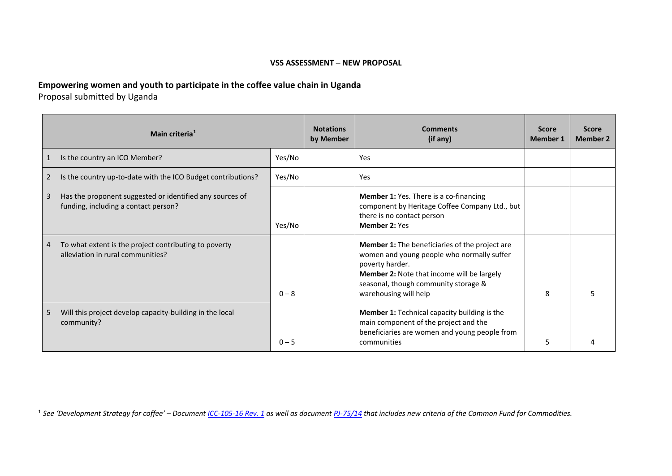## <span id="page-1-0"></span>**VSS ASSESSMENT ─ NEW PROPOSAL**

## **Empowering women and youth to participate in the coffee value chain in Uganda**

Proposal submitted by Uganda

 $\overline{a}$ 

|   | Main criteria <sup>1</sup>                                                                       |         | <b>Notations</b><br>by Member | <b>Comments</b><br>(if any)                                                                                                                                                                                                                  | <b>Score</b><br><b>Member 1</b> | <b>Score</b><br><b>Member 2</b> |
|---|--------------------------------------------------------------------------------------------------|---------|-------------------------------|----------------------------------------------------------------------------------------------------------------------------------------------------------------------------------------------------------------------------------------------|---------------------------------|---------------------------------|
| 1 | Is the country an ICO Member?                                                                    | Yes/No  |                               | Yes                                                                                                                                                                                                                                          |                                 |                                 |
| 2 | Is the country up-to-date with the ICO Budget contributions?                                     | Yes/No  |                               | Yes                                                                                                                                                                                                                                          |                                 |                                 |
| 3 | Has the proponent suggested or identified any sources of<br>funding, including a contact person? | Yes/No  |                               | <b>Member 1: Yes. There is a co-financing</b><br>component by Heritage Coffee Company Ltd., but<br>there is no contact person<br><b>Member 2: Yes</b>                                                                                        |                                 |                                 |
| 4 | To what extent is the project contributing to poverty<br>alleviation in rural communities?       | $0 - 8$ |                               | <b>Member 1:</b> The beneficiaries of the project are<br>women and young people who normally suffer<br>poverty harder.<br><b>Member 2: Note that income will be largely</b><br>seasonal, though community storage &<br>warehousing will help | 8                               |                                 |
| 5 | Will this project develop capacity-building in the local<br>community?                           | $0 - 5$ |                               | <b>Member 1: Technical capacity building is the</b><br>main component of the project and the<br>beneficiaries are women and young people from<br>communities                                                                                 | 5                               |                                 |

<sup>1</sup> *See 'Development Strategy for coffee' – Document [ICC-105-16 Rev. 1](http://dev.ico.org/documents/cy2013-14/icc-105-16-r1e-strategy.pdf) as well as document [PJ-75/14](http://dev.ico.org/documents/cy2013-14/pj-75e-guidelines-submission-projects.pdf) that includes new criteria of the Common Fund for Commodities.*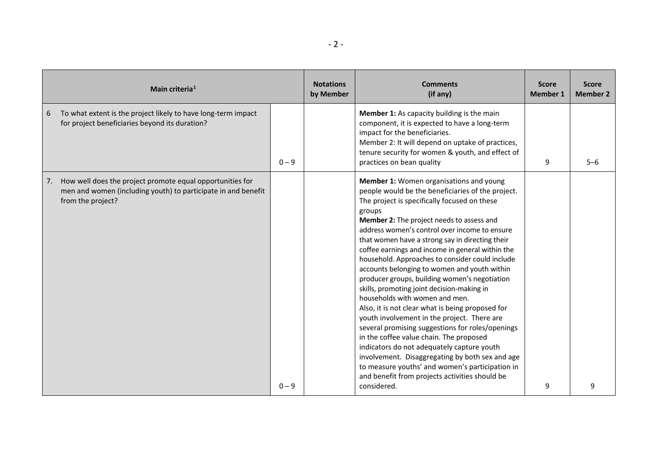|    | Main criteria <sup>1</sup>                                                                                                                      |         | <b>Notations</b><br>by Member | <b>Comments</b><br>(if any)                                                                                                                                                                                                                                                                                                                                                                                                                                                                                                                                                                                                                                                                                                                                                                                                                                                                                                                                                                                            | <b>Score</b><br><b>Member 1</b> | <b>Score</b><br><b>Member 2</b> |
|----|-------------------------------------------------------------------------------------------------------------------------------------------------|---------|-------------------------------|------------------------------------------------------------------------------------------------------------------------------------------------------------------------------------------------------------------------------------------------------------------------------------------------------------------------------------------------------------------------------------------------------------------------------------------------------------------------------------------------------------------------------------------------------------------------------------------------------------------------------------------------------------------------------------------------------------------------------------------------------------------------------------------------------------------------------------------------------------------------------------------------------------------------------------------------------------------------------------------------------------------------|---------------------------------|---------------------------------|
| 6  | To what extent is the project likely to have long-term impact<br>for project beneficiaries beyond its duration?                                 | $0 - 9$ |                               | Member 1: As capacity building is the main<br>component, it is expected to have a long-term<br>impact for the beneficiaries.<br>Member 2: It will depend on uptake of practices,<br>tenure security for women & youth, and effect of<br>practices on bean quality                                                                                                                                                                                                                                                                                                                                                                                                                                                                                                                                                                                                                                                                                                                                                      | 9                               | $5 - 6$                         |
| 7. | How well does the project promote equal opportunities for<br>men and women (including youth) to participate in and benefit<br>from the project? | $0 - 9$ |                               | Member 1: Women organisations and young<br>people would be the beneficiaries of the project.<br>The project is specifically focused on these<br>groups<br>Member 2: The project needs to assess and<br>address women's control over income to ensure<br>that women have a strong say in directing their<br>coffee earnings and income in general within the<br>household. Approaches to consider could include<br>accounts belonging to women and youth within<br>producer groups, building women's negotiation<br>skills, promoting joint decision-making in<br>households with women and men.<br>Also, it is not clear what is being proposed for<br>youth involvement in the project. There are<br>several promising suggestions for roles/openings<br>in the coffee value chain. The proposed<br>indicators do not adequately capture youth<br>involvement. Disaggregating by both sex and age<br>to measure youths' and women's participation in<br>and benefit from projects activities should be<br>considered. | 9                               | 9                               |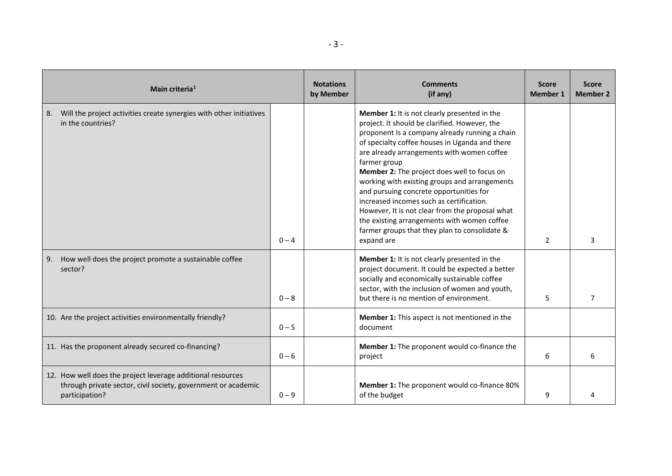| Main criteria <sup>1</sup> |                                                                                                                                                | <b>Notations</b><br>by Member | <b>Comments</b><br>(if any) | <b>Score</b><br><b>Member 1</b>                                                                                                                                                                                                                                                                                                                                                                                                                                                                                                                                                                                         | <b>Score</b><br><b>Member 2</b> |   |
|----------------------------|------------------------------------------------------------------------------------------------------------------------------------------------|-------------------------------|-----------------------------|-------------------------------------------------------------------------------------------------------------------------------------------------------------------------------------------------------------------------------------------------------------------------------------------------------------------------------------------------------------------------------------------------------------------------------------------------------------------------------------------------------------------------------------------------------------------------------------------------------------------------|---------------------------------|---|
| 8.                         | Will the project activities create synergies with other initiatives<br>in the countries?                                                       | $0 - 4$                       |                             | Member 1: It is not clearly presented in the<br>project. It should be clarified. However, the<br>proponent Is a company already running a chain<br>of specialty coffee houses in Uganda and there<br>are already arrangements with women coffee<br>farmer group<br>Member 2: The project does well to focus on<br>working with existing groups and arrangements<br>and pursuing concrete opportunities for<br>increased incomes such as certification.<br>However, It is not clear from the proposal what<br>the existing arrangements with women coffee<br>farmer groups that they plan to consolidate &<br>expand are | $\overline{2}$                  | 3 |
| 9.                         | How well does the project promote a sustainable coffee<br>sector?                                                                              | $0 - 8$                       |                             | Member 1: It is not clearly presented in the<br>project document. It could be expected a better<br>socially and economically sustainable coffee<br>sector, with the inclusion of women and youth,<br>but there is no mention of environment.                                                                                                                                                                                                                                                                                                                                                                            | 5                               |   |
|                            | 10. Are the project activities environmentally friendly?                                                                                       | $0 - 5$                       |                             | <b>Member 1:</b> This aspect is not mentioned in the<br>document                                                                                                                                                                                                                                                                                                                                                                                                                                                                                                                                                        |                                 |   |
|                            | 11. Has the proponent already secured co-financing?                                                                                            | $0 - 6$                       |                             | Member 1: The proponent would co-finance the<br>project                                                                                                                                                                                                                                                                                                                                                                                                                                                                                                                                                                 | 6                               |   |
|                            | 12. How well does the project leverage additional resources<br>through private sector, civil society, government or academic<br>participation? | $0 - 9$                       |                             | Member 1: The proponent would co-finance 80%<br>of the budget                                                                                                                                                                                                                                                                                                                                                                                                                                                                                                                                                           | 9                               |   |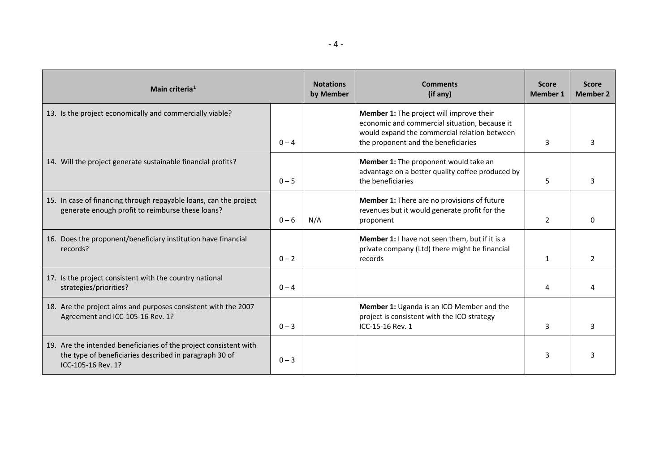| Main criteria <sup>1</sup>                                                                                                                        |         | <b>Notations</b><br>by Member | <b>Comments</b><br>(if any)                                                                                                                                                      | <b>Score</b><br><b>Member 1</b> | <b>Score</b><br><b>Member 2</b> |
|---------------------------------------------------------------------------------------------------------------------------------------------------|---------|-------------------------------|----------------------------------------------------------------------------------------------------------------------------------------------------------------------------------|---------------------------------|---------------------------------|
| 13. Is the project economically and commercially viable?                                                                                          | $0 - 4$ |                               | Member 1: The project will improve their<br>economic and commercial situation, because it<br>would expand the commercial relation between<br>the proponent and the beneficiaries | 3                               |                                 |
| 14. Will the project generate sustainable financial profits?                                                                                      | $0 - 5$ |                               | Member 1: The proponent would take an<br>advantage on a better quality coffee produced by<br>the beneficiaries                                                                   | 5.                              |                                 |
| 15. In case of financing through repayable loans, can the project<br>generate enough profit to reimburse these loans?                             | $0 - 6$ | N/A                           | Member 1: There are no provisions of future<br>revenues but it would generate profit for the<br>proponent                                                                        | 2                               | <sup>0</sup>                    |
| 16. Does the proponent/beneficiary institution have financial<br>records?                                                                         | $0 - 2$ |                               | Member 1: I have not seen them, but if it is a<br>private company (Ltd) there might be financial<br>records                                                                      | 1                               |                                 |
| 17. Is the project consistent with the country national<br>strategies/priorities?                                                                 | $0 - 4$ |                               |                                                                                                                                                                                  | 4                               |                                 |
| 18. Are the project aims and purposes consistent with the 2007<br>Agreement and ICC-105-16 Rev. 1?                                                | $0 - 3$ |                               | Member 1: Uganda is an ICO Member and the<br>project is consistent with the ICO strategy<br>ICC-15-16 Rev. 1                                                                     | 3                               |                                 |
| 19. Are the intended beneficiaries of the project consistent with<br>the type of beneficiaries described in paragraph 30 of<br>ICC-105-16 Rev. 1? | $0 - 3$ |                               |                                                                                                                                                                                  | 3                               |                                 |